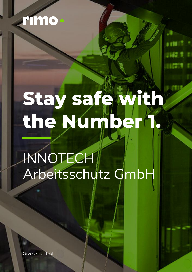

## **Stay safe with** the Number 1.

INNOTECH Arbeitsschutz GmbH

**Gives Control.**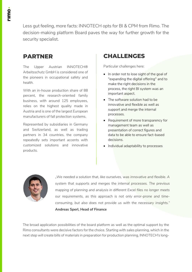Less gut feeling, more facts: INNOTECH opts for BI & CPM from Rimo. The decision-making platform Board paves the way for further growth for the security specialist.

## **PARTNER**

The Upper Austrian INNOTECH® Arbeitsschutz GmbH is considered one of the pioneers in occupational safety and health.

With an in-house production share of 88 percent, the research-oriented family business, with around 125 employees, relies on the highest quality made in Austria and is one of the largest European manufacturers of fall protection systems.

Represented by subsidiaries in Germany and Switzerland, as well as trading partners in 34 countries, the company repeatedly sets important accents with customized solutions and innovative products.

## **CHALLENGES**

Particular challenges here:

- In order not to lose sight of the goal of "expanding the digital offering" and to make the right decisions in the process, the right BI system was an important aspect.
- The software solution had to be innovative and flexible as well as support and merge the internal processes.
- Requirement of more transparency for management team as well as presentation of correct figures and data to be able to ensure fact-based decisions.
- Individual adaptability to processes



*"We needed a solution that, like ourselves, was innovative and flexible. A system that supports and merges the internal processes. The previous mapping of planning and analysis in different Excel files no longer meets our requirements, as this approach is not only error-prone and timeconsuming, but also does not provide us with the necessary insights."* **Andreas Sperl, Head of Finance**

The broad application possibilities of the board platform as well as the optimal support by the Rimo consultants were decisive factors for the choice. Starting with sales planning, which in the next step will create bills of materials in preparation for production planning, INNOTECH's long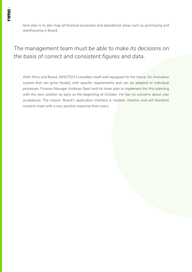term plan is to also map all financial processes and operational areas such as purchasing and warehousing in Board.

*The management team must be able to make its decisions on the basis of correct and consistent figures and data.*

With Rimo and Board, INNOTECH considers itself well equipped for the future: An innovative system that can grow flexibly with specific requirements and can be adapted to individual processes. Finance Manager Andreas Sperl and his team plan to implement the first planning with the new solution as early as the beginning of October. He has no concerns about user acceptance. The reason: Board's application interface is modern, intuitive and will therefore certainly meet with a very positive response from users.